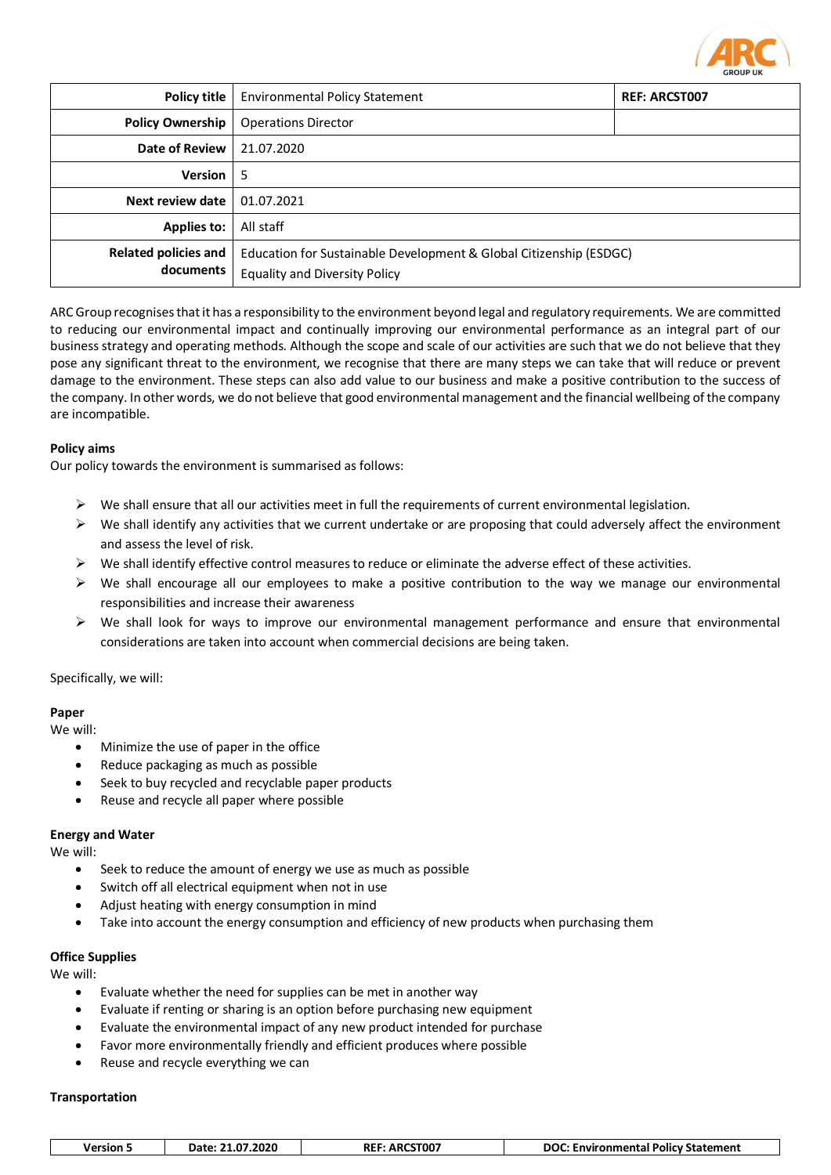

| <b>Policy title</b>                      | <b>Environmental Policy Statement</b>                                                                      | <b>REF: ARCST007</b> |  |
|------------------------------------------|------------------------------------------------------------------------------------------------------------|----------------------|--|
| <b>Policy Ownership</b>                  | <b>Operations Director</b>                                                                                 |                      |  |
| <b>Date of Review</b>                    | 21.07.2020                                                                                                 |                      |  |
| <b>Version</b>                           | 5                                                                                                          |                      |  |
| Next review date                         | 01.07.2021                                                                                                 |                      |  |
| <b>Applies to:</b>                       | All staff                                                                                                  |                      |  |
| <b>Related policies and</b><br>documents | Education for Sustainable Development & Global Citizenship (ESDGC)<br><b>Equality and Diversity Policy</b> |                      |  |

ARC Group recognises that it has a responsibility to the environment beyond legal and regulatory requirements. We are committed to reducing our environmental impact and continually improving our environmental performance as an integral part of our business strategy and operating methods. Although the scope and scale of our activities are such that we do not believe that they pose any significant threat to the environment, we recognise that there are many steps we can take that will reduce or prevent damage to the environment. These steps can also add value to our business and make a positive contribution to the success of the company. In other words, we do not believe that good environmental management and the financial wellbeing of the company are incompatible.

# **Policy aims**

Our policy towards the environment is summarised as follows:

- $\triangleright$  We shall ensure that all our activities meet in full the requirements of current environmental legislation.
- $\triangleright$  We shall identify any activities that we current undertake or are proposing that could adversely affect the environment and assess the level of risk.
- $\triangleright$  We shall identify effective control measures to reduce or eliminate the adverse effect of these activities.
- $\triangleright$  We shall encourage all our employees to make a positive contribution to the way we manage our environmental responsibilities and increase their awareness
- $\triangleright$  We shall look for ways to improve our environmental management performance and ensure that environmental considerations are taken into account when commercial decisions are being taken.

Specifically, we will:

# **Paper**

We will:

- Minimize the use of paper in the office
- Reduce packaging as much as possible
- Seek to buy recycled and recyclable paper products
- Reuse and recycle all paper where possible

### **Energy and Water**

We will:

- Seek to reduce the amount of energy we use as much as possible
- Switch off all electrical equipment when not in use
- Adjust heating with energy consumption in mind
- Take into account the energy consumption and efficiency of new products when purchasing them

## **Office Supplies**

We will:

- Evaluate whether the need for supplies can be met in another way
- Evaluate if renting or sharing is an option before purchasing new equipment
- Evaluate the environmental impact of any new product intended for purchase
- Favor more environmentally friendly and efficient produces where possible
- Reuse and recycle everything we can

### **Transportation**